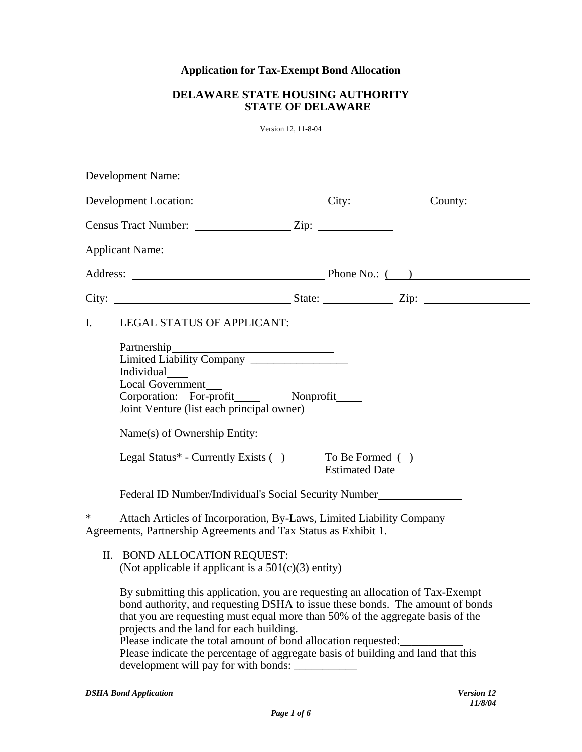# **Application for Tax-Exempt Bond Allocation**

## **DELAWARE STATE HOUSING AUTHORITY STATE OF DELAWARE**

Version 12, 11-8-04

| Development Location: City: City: County: County:                                                                                            |                                                                                                                                                                                                                                                                                                                                                                                                                                                                                             |  |  |  |
|----------------------------------------------------------------------------------------------------------------------------------------------|---------------------------------------------------------------------------------------------------------------------------------------------------------------------------------------------------------------------------------------------------------------------------------------------------------------------------------------------------------------------------------------------------------------------------------------------------------------------------------------------|--|--|--|
|                                                                                                                                              |                                                                                                                                                                                                                                                                                                                                                                                                                                                                                             |  |  |  |
|                                                                                                                                              |                                                                                                                                                                                                                                                                                                                                                                                                                                                                                             |  |  |  |
|                                                                                                                                              |                                                                                                                                                                                                                                                                                                                                                                                                                                                                                             |  |  |  |
|                                                                                                                                              |                                                                                                                                                                                                                                                                                                                                                                                                                                                                                             |  |  |  |
| I.                                                                                                                                           | <b>LEGAL STATUS OF APPLICANT:</b>                                                                                                                                                                                                                                                                                                                                                                                                                                                           |  |  |  |
|                                                                                                                                              | Individual______<br><b>Local Government</b>                                                                                                                                                                                                                                                                                                                                                                                                                                                 |  |  |  |
|                                                                                                                                              | Name(s) of Ownership Entity:<br>Legal Status* - Currently Exists ()<br>To Be Formed ()<br>Estimated Date                                                                                                                                                                                                                                                                                                                                                                                    |  |  |  |
|                                                                                                                                              | Federal ID Number/Individual's Social Security Number                                                                                                                                                                                                                                                                                                                                                                                                                                       |  |  |  |
| Attach Articles of Incorporation, By-Laws, Limited Liability Company<br>*<br>Agreements, Partnership Agreements and Tax Status as Exhibit 1. |                                                                                                                                                                                                                                                                                                                                                                                                                                                                                             |  |  |  |
|                                                                                                                                              | II. BOND ALLOCATION REQUEST:<br>(Not applicable if applicant is a $501(c)(3)$ entity)                                                                                                                                                                                                                                                                                                                                                                                                       |  |  |  |
|                                                                                                                                              | By submitting this application, you are requesting an allocation of Tax-Exempt<br>bond authority, and requesting DSHA to issue these bonds. The amount of bonds<br>that you are requesting must equal more than 50% of the aggregate basis of the<br>projects and the land for each building.<br>Please indicate the total amount of bond allocation requested:<br>Please indicate the percentage of aggregate basis of building and land that this<br>development will pay for with bonds: |  |  |  |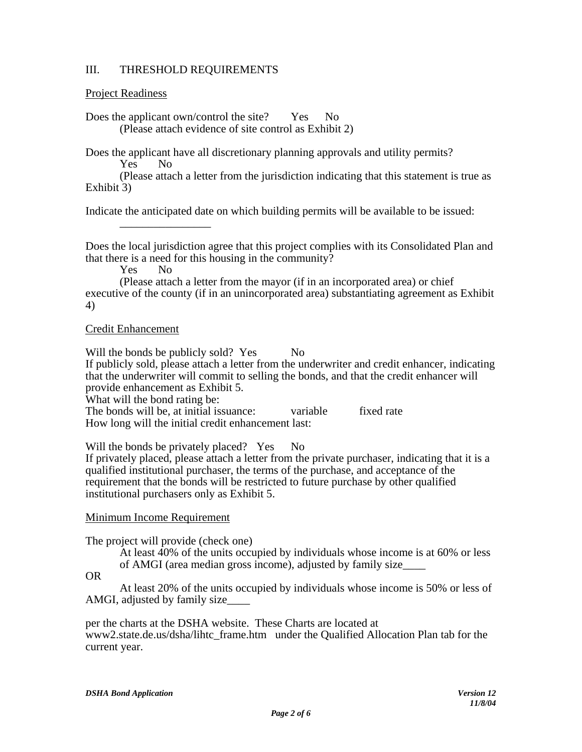### III. THRESHOLD REQUIREMENTS

#### Project Readiness

Does the applicant own/control the site? Yes No (Please attach evidence of site control as Exhibit 2)

Does the applicant have all discretionary planning approvals and utility permits?

Yes No

(Please attach a letter from the jurisdiction indicating that this statement is true as Exhibit 3)

Indicate the anticipated date on which building permits will be available to be issued:

Does the local jurisdiction agree that this project complies with its Consolidated Plan and that there is a need for this housing in the community?

Yes No

 $\overline{\phantom{a}}$  , and the contract of the contract of the contract of the contract of the contract of the contract of the contract of the contract of the contract of the contract of the contract of the contract of the contrac

(Please attach a letter from the mayor (if in an incorporated area) or chief executive of the county (if in an unincorporated area) substantiating agreement as Exhibit 4)

#### Credit Enhancement

Will the bonds be publicly sold? Yes No If publicly sold, please attach a letter from the underwriter and credit enhancer, indicating that the underwriter will commit to selling the bonds, and that the credit enhancer will provide enhancement as Exhibit 5.

What will the bond rating be:

The bonds will be, at initial issuance: variable fixed rate How long will the initial credit enhancement last:

Will the bonds be privately placed? Yes No

If privately placed, please attach a letter from the private purchaser, indicating that it is a qualified institutional purchaser, the terms of the purchase, and acceptance of the requirement that the bonds will be restricted to future purchase by other qualified institutional purchasers only as Exhibit 5.

#### Minimum Income Requirement

The project will provide (check one)

At least 40% of the units occupied by individuals whose income is at 60% or less of AMGI (area median gross income), adjusted by family size\_\_\_\_

OR

At least 20% of the units occupied by individuals whose income is 50% or less of AMGI, adjusted by family size\_\_\_\_

per the charts at the DSHA website. These Charts are located at www2.state.de.us/dsha/lihtc\_frame.htm under the Qualified Allocation Plan tab for the current year.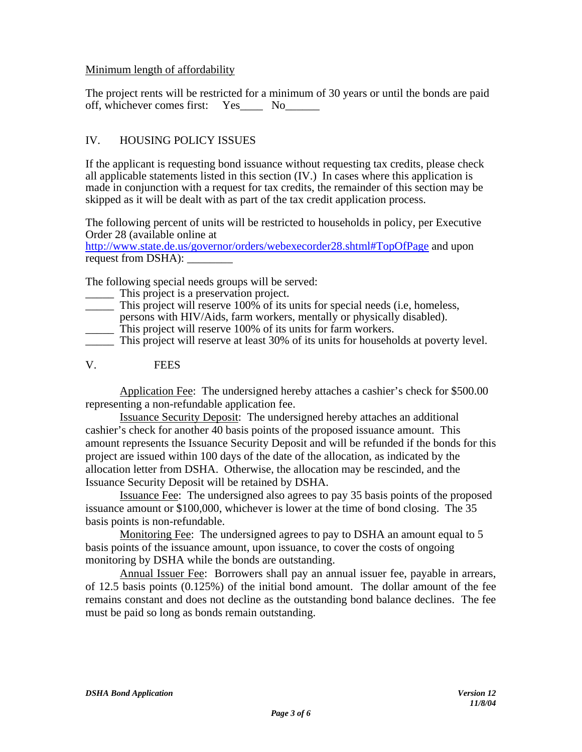#### Minimum length of affordability

The project rents will be restricted for a minimum of 30 years or until the bonds are paid off, whichever comes first: Yes\_\_\_\_ No\_\_\_\_\_\_

## IV. HOUSING POLICY ISSUES

If the applicant is requesting bond issuance without requesting tax credits, please check all applicable statements listed in this section (IV.) In cases where this application is made in conjunction with a request for tax credits, the remainder of this section may be skipped as it will be dealt with as part of the tax credit application process.

The following percent of units will be restricted to households in policy, per Executive Order 28 (available online at

http://www.state.de.us/governor/orders/webexecorder28.shtml#TopOfPage and upon request from DSHA):

The following special needs groups will be served:

- This project is a preservation project.
- \_\_\_\_\_ This project will reserve 100% of its units for special needs (i.e, homeless,
- persons with HIV/Aids, farm workers, mentally or physically disabled).
- \_\_\_\_\_ This project will reserve 100% of its units for farm workers.
- \_\_\_\_\_ This project will reserve at least 30% of its units for households at poverty level.
- V. FEES

Application Fee: The undersigned hereby attaches a cashier's check for \$500.00 representing a non-refundable application fee.

Issuance Security Deposit: The undersigned hereby attaches an additional cashier's check for another 40 basis points of the proposed issuance amount. This amount represents the Issuance Security Deposit and will be refunded if the bonds for this project are issued within 100 days of the date of the allocation, as indicated by the allocation letter from DSHA. Otherwise, the allocation may be rescinded, and the Issuance Security Deposit will be retained by DSHA.

Issuance Fee: The undersigned also agrees to pay 35 basis points of the proposed issuance amount or \$100,000, whichever is lower at the time of bond closing. The 35 basis points is non-refundable.

Monitoring Fee: The undersigned agrees to pay to DSHA an amount equal to 5 basis points of the issuance amount, upon issuance, to cover the costs of ongoing monitoring by DSHA while the bonds are outstanding.

Annual Issuer Fee: Borrowers shall pay an annual issuer fee, payable in arrears, of 12.5 basis points (0.125%) of the initial bond amount. The dollar amount of the fee remains constant and does not decline as the outstanding bond balance declines. The fee must be paid so long as bonds remain outstanding.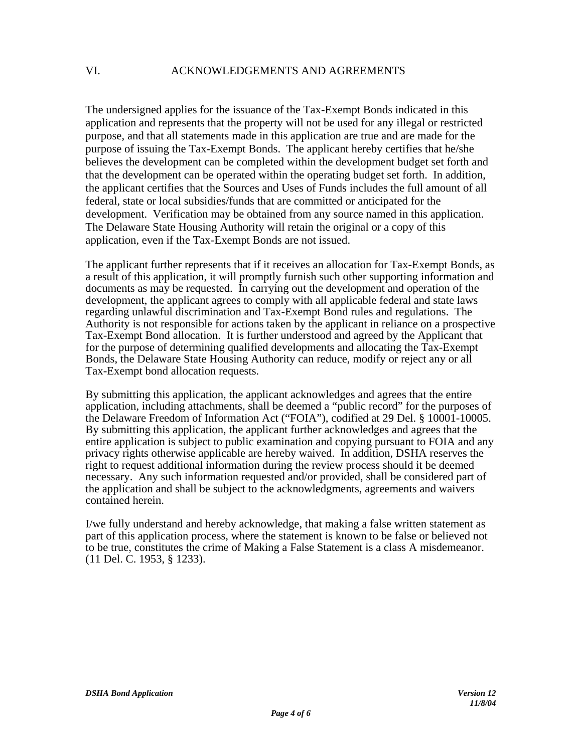The undersigned applies for the issuance of the Tax-Exempt Bonds indicated in this application and represents that the property will not be used for any illegal or restricted purpose, and that all statements made in this application are true and are made for the purpose of issuing the Tax-Exempt Bonds. The applicant hereby certifies that he/she believes the development can be completed within the development budget set forth and that the development can be operated within the operating budget set forth. In addition, the applicant certifies that the Sources and Uses of Funds includes the full amount of all federal, state or local subsidies/funds that are committed or anticipated for the development. Verification may be obtained from any source named in this application. The Delaware State Housing Authority will retain the original or a copy of this application, even if the Tax-Exempt Bonds are not issued.

The applicant further represents that if it receives an allocation for Tax-Exempt Bonds, as a result of this application, it will promptly furnish such other supporting information and documents as may be requested. In carrying out the development and operation of the development, the applicant agrees to comply with all applicable federal and state laws regarding unlawful discrimination and Tax-Exempt Bond rules and regulations. The Authority is not responsible for actions taken by the applicant in reliance on a prospective Tax-Exempt Bond allocation. It is further understood and agreed by the Applicant that for the purpose of determining qualified developments and allocating the Tax-Exempt Bonds, the Delaware State Housing Authority can reduce, modify or reject any or all Tax-Exempt bond allocation requests.

By submitting this application, the applicant acknowledges and agrees that the entire application, including attachments, shall be deemed a "public record" for the purposes of the Delaware Freedom of Information Act ("FOIA"), codified at 29 Del. § 10001-10005. By submitting this application, the applicant further acknowledges and agrees that the entire application is subject to public examination and copying pursuant to FOIA and any privacy rights otherwise applicable are hereby waived. In addition, DSHA reserves the right to request additional information during the review process should it be deemed necessary. Any such information requested and/or provided, shall be considered part of the application and shall be subject to the acknowledgments, agreements and waivers contained herein.

I/we fully understand and hereby acknowledge, that making a false written statement as part of this application process, where the statement is known to be false or believed not to be true, constitutes the crime of Making a False Statement is a class A misdemeanor. (11 Del. C. 1953, § 1233).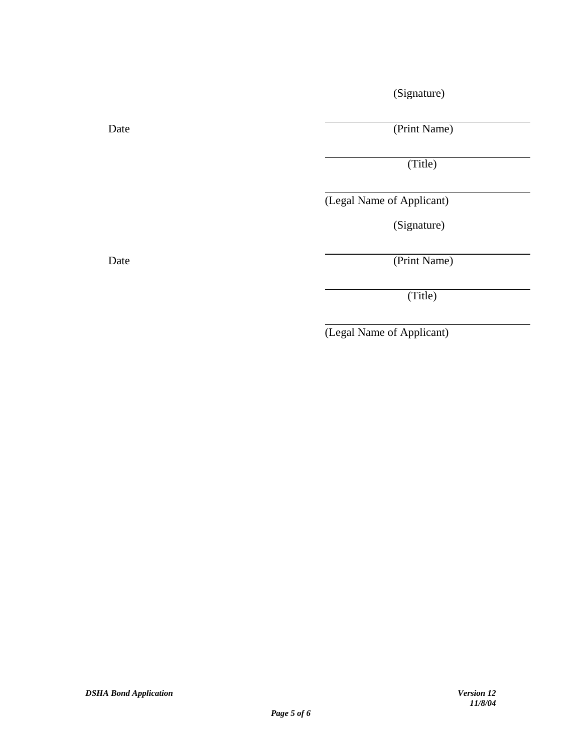(Signature)

Date (Print Name)

(Title)

(Legal Name of Applicant)

(Signature)

Date (Print Name)

(Title)

(Legal Name of Applicant)